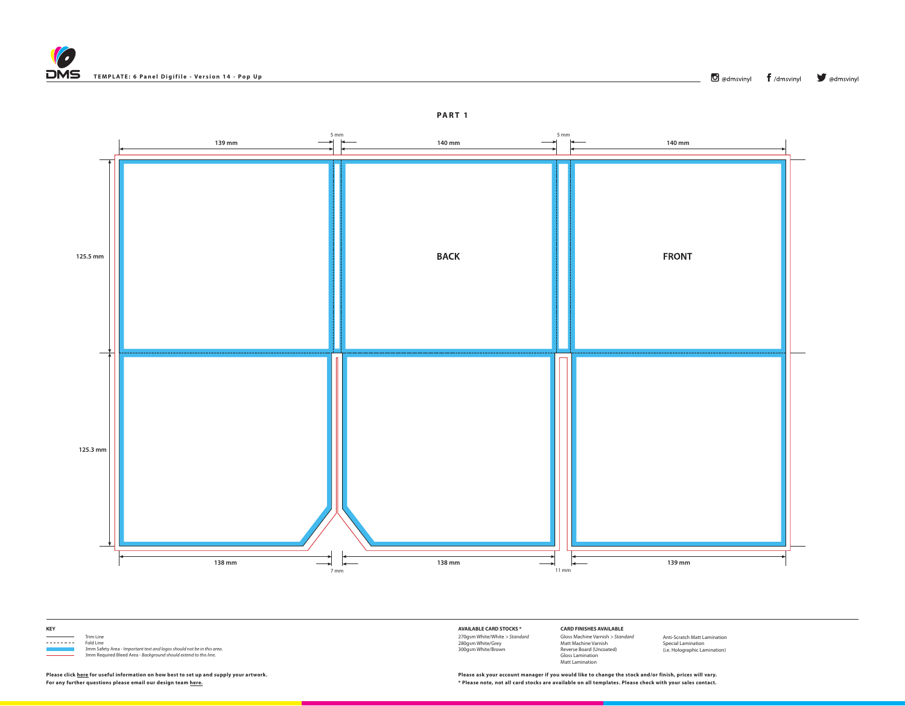



**KEY**

Trim Line<br>
Trim Line<br>
Fold Line 3mm Safety Area - *Important text and logos should not be in this area*. 3mm Required Bleed Area - *Background should extend to this line.*

Fold Line

**AVAILABLE CARD STOCKS \*** 270gsm White/White *> Standard* 280gsm White/Grey 300gsm White/Brown

**CARD FINISHES AVAILABLE** Gloss Machine Varnish *> Standard* Matt Machine Varnish Reverse Board (Uncoated) Gloss Lamination Matt Lamination

Anti-Scratch Matt Lamination Special Lamination (i.e. Holographic Lamination)

**For any further questions please email our design team [here.](mailto:graphics%40discmanufacturingservices.com?subject=Template%20Enquiry) \* Please note, not all card stocks are available on all templates. Please check with your sales contact. Please click [here](https://www.discmanufacturingservices.com/cd/templates#artwork-specifications) for useful information on how best to set up and supply your artwork. Please ask your account manager if you would like to change the stock and/or finish, prices will vary.**